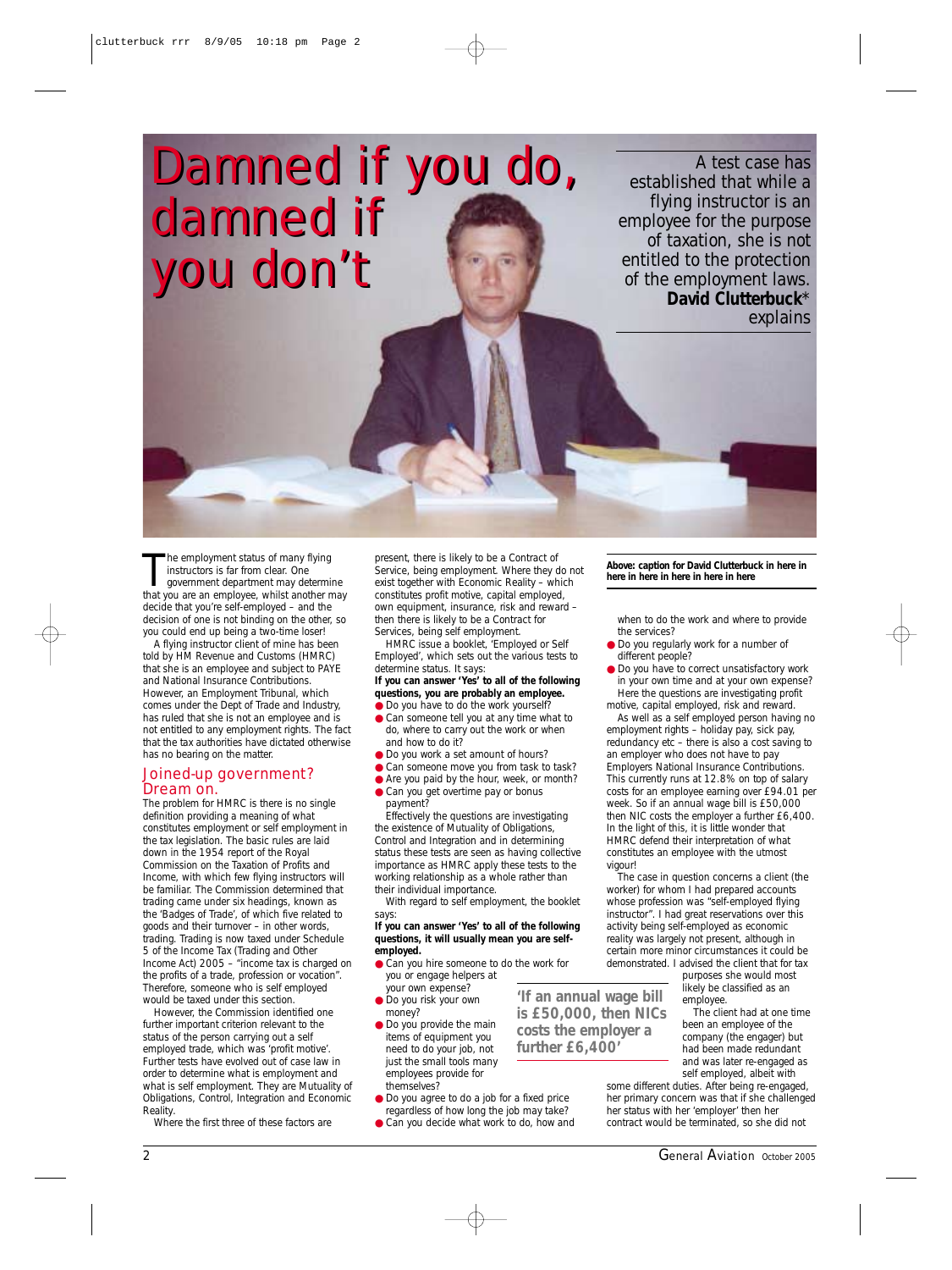*Damned if you do, Damned if you do, damned if damned if you don't you don't*

*A test case has established that while a flying instructor is an employee for the purpose of taxation, she is not entitled to the protection of the employment laws. David Clutterbuck\* explains*

The employment status of many flying<br>instructors is far from clear. One<br>government department may determine<br>that you are an employee, whilst another may he employment status of many flying instructors is far from clear. One government department may determine decide that you're self-employed – and the decision of one is not binding on the other, so you could end up being a two-time loser!

A flying instructor client of mine has been told by HM Revenue and Customs (HMRC) that she is an employee and subject to PAYE and National Insurance Contributions. However, an Employment Tribunal, which comes under the Dept of Trade and Industry, has ruled that she is not an employee and is not entitled to any employment rights. The fact that the tax authorities have dictated otherwise has no bearing on the matter.

# Joined-up government? Dream on.

The problem for HMRC is there is no single definition providing a meaning of what constitutes employment or self employment in the tax legislation. The basic rules are laid down in the 1954 report of the Royal Commission on the Taxation of Profits and Income, with which few flying instructors will be familiar. The Commission determined that trading came under six headings, known as the 'Badges of Trade', of which five related to goods and their turnover – in other words, trading. Trading is now taxed under Schedule 5 of the Income Tax (Trading and Other Income Act) 2005 – "income tax is charged on the profits of a trade, profession or vocation". Therefore, someone who is self employed would be taxed under this section.

However, the Commission identified one further important criterion relevant to the status of the person carrying out a self employed trade, which was 'profit motive'. Further tests have evolved out of case law in order to determine what is employment and what is self employment. They are *Mutuality of Obligations, Control, Integration* and *Economic Reality*.

Where the first three of these factors are

present, there is likely to be a *Contract of Service*, being employment. Where they do not exist together with *Economic Reality* – which constitutes profit motive, capital employed, own equipment, insurance, risk and reward – then there is likely to be a *Contract for Services*, being self employment.

HMRC issue a booklet, 'Employed or Self Employed', which sets out the various tests to determine status. It says

### *If you can answer 'Yes' to all of the following questions, you are probably an employee.*  ● *Do you have to do the work yourself?*

- *Can someone tell you at any time what to do, where to carry out the work or when and how to do it?*
- *Do you work a set amount of hours?*
- *Can someone move you from task to task?*
- *Are you paid by the hour, week, or month?*  ● *Can you get overtime pay or bonus*
- *payment?*  Effectively the questions are investigating the existence of Mutuality of Obligations,

Control and Integration and in determining status these tests are seen as having collective importance as HMRC apply these tests to the working relationship as a whole rather than their individual importance.

With regard to self employment, the booklet says:

#### *If you can answer 'Yes' to all of the following questions, it will usually mean you are selfemployed.*

*'If an annual wage bill is £50,000, then NICs costs the employer a further £6,400'*

- *Can you hire someone to do the work for you or engage helpers at*
- *your own expense?*  ● *Do you risk your own money?*
- *Do you provide the main items of equipment you need to do your job, not just the small tools many employees provide for themselves?*
- *Do you agree to do a job for a fixed price*
- *regardless of how long the job may take?*
- *Can you decide what work to do, how and*

## *Above: caption for David Clutterbuck in here in here in here in here in here in here*

*when to do the work and where to provide the services?* 

- *Do you regularly work for a number of different people?*
- *Do you have to correct unsatisfactory work in your own time and at your own expense?*  Here the questions are investigating profit motive, capital employed, risk and reward.

As well as a self employed person having no employment rights – holiday pay, sick pay, redundancy etc – there is also a cost saving to an employer who does not have to pay Employers National Insurance Contributions. This currently runs at 12.8% on top of salary costs for an employee earning over £94.01 per week. So if an annual wage bill is £50,000 then NIC costs the employer a further £6,400. In the light of this, it is little wonder that HMRC defend their interpretation of what constitutes an employee with the utmost vigour!

The case in question concerns a client (the worker) for whom I had prepared accounts whose profession was "self-employed flying instructor". I had great reservations over this activity being self-employed as economic reality was largely not present, although in certain more minor circumstances it could be demonstrated. I advised the client that for tax

purposes she would most likely be classified as an employee.

The client had at one time been an employee of the company (the engager) but had been made redundant and was later re-engaged as self employed, albeit with

some different duties. After being re-engaged, her primary concern was that if she challenged her status with her 'employer' then her contract would be terminated, so she did not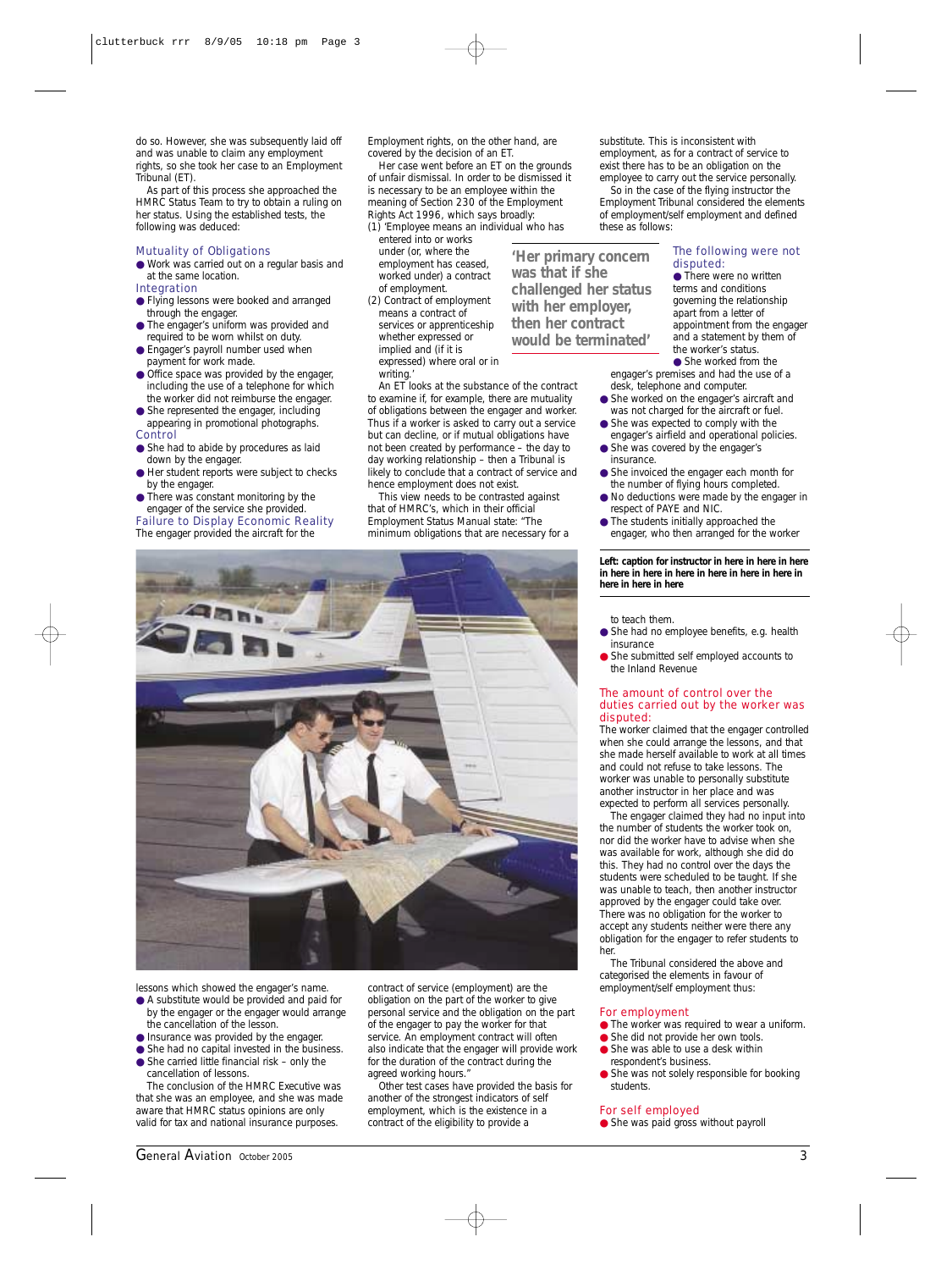do so. However, she was subsequently laid off and was unable to claim any employment rights, so she took her case to an Employment Tribunal (ET).

As part of this process she approached the HMRC Status Team to try to obtain a ruling on her status. Using the established tests, the following was deduced:

## Mutuality of Obligations

- Work was carried out on a regular basis and at the same location. Integration
- 
- Flying lessons were booked and arranged through the engager. ● The engager's uniform was provided and
- required to be worn whilst on duty.
- Engager's payroll number used when payment for work made.
- Office space was provided by the engager, including the use of a telephone for which the worker did not reimburse the engager.
- She represented the engager, including appearing in promotional photographs.
- Control
- She had to abide by procedures as laid down by the engager.
- Her student reports were subject to checks by the engager.
- There was constant monitoring by the engager of the service she provided.

Failure to Display Economic Reality The engager provided the aircraft for the

Employment rights, on the other hand, are covered by the decision of an ET.

Her case went before an ET on the grounds of unfair dismissal. In order to be dismissed it is necessary to be an employee within the meaning of Section 230 of the Employment Rights Act 1996, which says broadly:

(1) 'Employee means an individual who has entered into or works

- under (or, where the employment has ceased, worked under) a contract of employment. (2) Contract of employment
- means a contract of services or apprenticeship whether expressed or implied and (if it is expressed) where oral or in writing.

An ET looks at the *substance of the contract* to examine if, for example, there are mutuality of obligations between the engager and worker. Thus if a worker is asked to carry out a service but can decline, or if mutual obligations have not been created by performance – the day to

day working relationship – then a Tribunal is likely to conclude that a contract of service and hence employment does not exist.

that of HMRC's, which in their official Employment Status Manual state: "The minimum obligations that are necessary for a substitute. This is inconsistent with employment, as for a contract of service to exist there has to be an obligation on the employee to carry out the service personally.

So in the case of the flying instructor the Employment Tribunal considered the elements of employment/self employment and defined these as follows:

*'Her primary concern was that if she challenged her status with her employer, then her contract would be terminated'*

#### The following were not disputed: ● There were no written

terms and conditions governing the relationship appointment from the engager and a statement by them of

engager's premises and had the use of a desk, telephone and computer.

- She worked on the engager's aircraft and was not charged for the aircraft or fuel.
- engager's airfield and operational policies.
- insurance.
- the number of flying hours completed.
- respect of PAYE and NIC.
- engager, who then arranged for the worker

*Left: caption for instructor in here in here in here in here in here in here in here in here in here in here in here in here*

to teach them.

- She had no employee benefits, e.g. health insurance
- She submitted self employed accounts to the Inland Revenue

## The amount of control over the duties carried out by the worker was disputed:

The worker claimed that the engager controlled when she could arrange the lessons, and that she made herself available to work at all times and could not refuse to take lessons. The worker was unable to personally substitute another instructor in her place and was expected to perform all services personally.

The engager claimed they had no input into the number of students the worker took on, nor did the worker have to advise when she was available for work, although she did do this. They had no control over the days the students were scheduled to be taught. If she was unable to teach, then another instructor approved by the engager could take over. There was no obligation for the worker to accept any students neither were there any obligation for the engager to refer students to her.

The Tribunal considered the above and categorised the elements in favour of employment/self employment thus:

# For employment

- The worker was required to wear a uniform.
- She did not provide her own tools
- She was able to use a desk within respondent's business.
- She was not solely responsible for booking students.

#### For self employed

● She was paid gross without payroll

*General Aviation October 2005* 3

the cancellation of the lesson. ● Insurance was provided by the engager. ● She had no capital invested in the business ● She carried little financial risk – only the

cancellation of lessons.

lessons which showed the engager's name. ● A substitute would be provided and paid for by the engager or the engager would arrange

The conclusion of the HMRC Executive was that she was an employee, and she was made aware that HMRC status opinions are only valid for tax and national insurance purposes.

contract of service (employment) are the obligation on the part of the worker to give personal service and the obligation on the part of the engager to pay the worker for that service. An employment contract will often also indicate that the engager will provide work for the duration of the contract during the agreed working hours."

Other test cases have provided the basis for another of the strongest indicators of self employment, which is the existence in a contract of the eligibility to provide a



apart from a letter of

the worker's status. ● She worked from the

- She was expected to comply with the
- She was covered by the engager's
- She invoiced the engager each month for
- No deductions were made by the engager in
- The students initially approached the

This view needs to be contrasted against